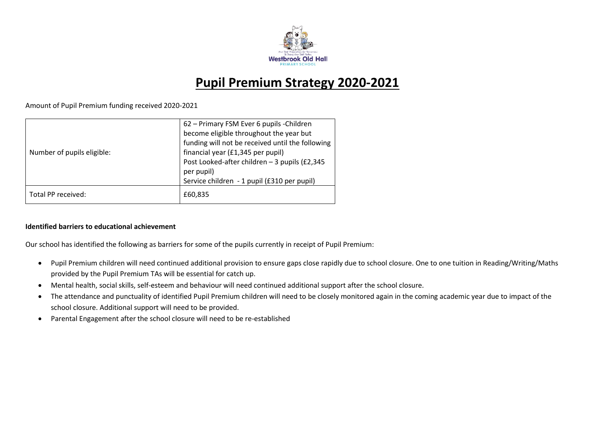

# **Pupil Premium Strategy 2020-2021**

Amount of Pupil Premium funding received 2020-2021

| Number of pupils eligible: | 62 – Primary FSM Ever 6 pupils - Children<br>become eligible throughout the year but<br>funding will not be received until the following<br>financial year (£1,345 per pupil)<br>Post Looked-after children - 3 pupils (£2,345<br>per pupil)<br>Service children - 1 pupil (£310 per pupil) |
|----------------------------|---------------------------------------------------------------------------------------------------------------------------------------------------------------------------------------------------------------------------------------------------------------------------------------------|
| Total PP received:         | £60,835                                                                                                                                                                                                                                                                                     |

#### **Identified barriers to educational achievement**

Our school has identified the following as barriers for some of the pupils currently in receipt of Pupil Premium:

- Pupil Premium children will need continued additional provision to ensure gaps close rapidly due to school closure. One to one tuition in Reading/Writing/Maths provided by the Pupil Premium TAs will be essential for catch up.
- Mental health, social skills, self-esteem and behaviour will need continued additional support after the school closure.
- The attendance and punctuality of identified Pupil Premium children will need to be closely monitored again in the coming academic year due to impact of the school closure. Additional support will need to be provided.
- Parental Engagement after the school closure will need to be re-established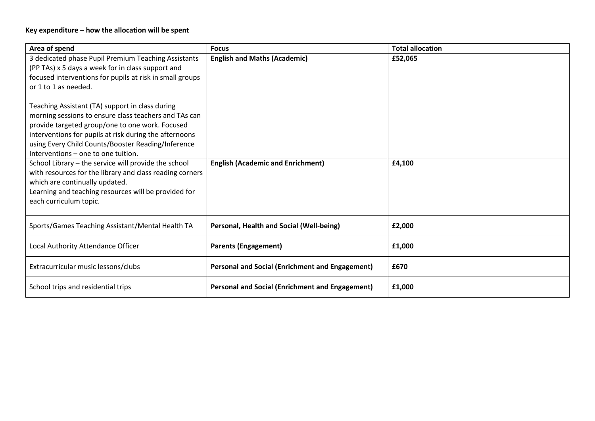# **Key expenditure – how the allocation will be spent**

| Area of spend                                                                                                                                                                                                                                                                                                                                                                                                                                                                                                      | <b>Focus</b>                                           | <b>Total allocation</b> |
|--------------------------------------------------------------------------------------------------------------------------------------------------------------------------------------------------------------------------------------------------------------------------------------------------------------------------------------------------------------------------------------------------------------------------------------------------------------------------------------------------------------------|--------------------------------------------------------|-------------------------|
| 3 dedicated phase Pupil Premium Teaching Assistants<br>(PP TAs) x 5 days a week for in class support and<br>focused interventions for pupils at risk in small groups<br>or 1 to 1 as needed.<br>Teaching Assistant (TA) support in class during<br>morning sessions to ensure class teachers and TAs can<br>provide targeted group/one to one work. Focused<br>interventions for pupils at risk during the afternoons<br>using Every Child Counts/Booster Reading/Inference<br>Interventions – one to one tuition. | <b>English and Maths (Academic)</b>                    | £52,065                 |
| School Library - the service will provide the school<br>with resources for the library and class reading corners<br>which are continually updated.<br>Learning and teaching resources will be provided for<br>each curriculum topic.                                                                                                                                                                                                                                                                               | <b>English (Academic and Enrichment)</b>               | £4,100                  |
| Sports/Games Teaching Assistant/Mental Health TA                                                                                                                                                                                                                                                                                                                                                                                                                                                                   | Personal, Health and Social (Well-being)               | £2,000                  |
| Local Authority Attendance Officer                                                                                                                                                                                                                                                                                                                                                                                                                                                                                 | <b>Parents (Engagement)</b>                            | £1,000                  |
| Extracurricular music lessons/clubs                                                                                                                                                                                                                                                                                                                                                                                                                                                                                | <b>Personal and Social (Enrichment and Engagement)</b> | £670                    |
| School trips and residential trips                                                                                                                                                                                                                                                                                                                                                                                                                                                                                 | <b>Personal and Social (Enrichment and Engagement)</b> | £1,000                  |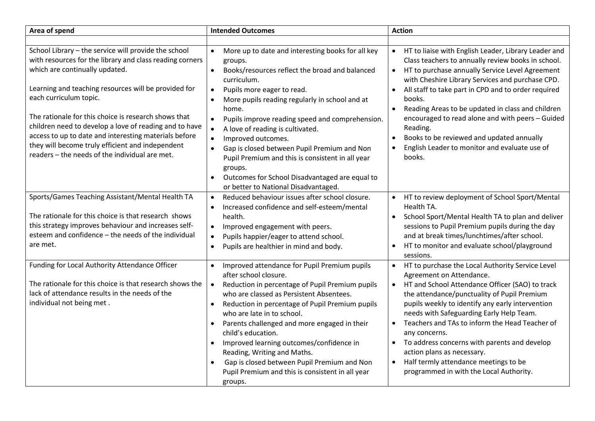| Area of spend                                                                                                                                                                                                                                                                                                                                                                                                                                                                                                         | <b>Intended Outcomes</b>                                                                                                                                                                                                                                                                                                                                                                                                                                                                                                                                                                                                 | <b>Action</b>                                                                                                                                                                                                                                                                                                                                                                                                                                                                                                                                                                                 |
|-----------------------------------------------------------------------------------------------------------------------------------------------------------------------------------------------------------------------------------------------------------------------------------------------------------------------------------------------------------------------------------------------------------------------------------------------------------------------------------------------------------------------|--------------------------------------------------------------------------------------------------------------------------------------------------------------------------------------------------------------------------------------------------------------------------------------------------------------------------------------------------------------------------------------------------------------------------------------------------------------------------------------------------------------------------------------------------------------------------------------------------------------------------|-----------------------------------------------------------------------------------------------------------------------------------------------------------------------------------------------------------------------------------------------------------------------------------------------------------------------------------------------------------------------------------------------------------------------------------------------------------------------------------------------------------------------------------------------------------------------------------------------|
|                                                                                                                                                                                                                                                                                                                                                                                                                                                                                                                       |                                                                                                                                                                                                                                                                                                                                                                                                                                                                                                                                                                                                                          |                                                                                                                                                                                                                                                                                                                                                                                                                                                                                                                                                                                               |
| School Library - the service will provide the school<br>with resources for the library and class reading corners<br>which are continually updated.<br>Learning and teaching resources will be provided for<br>each curriculum topic.<br>The rationale for this choice is research shows that<br>children need to develop a love of reading and to have<br>access to up to date and interesting materials before<br>they will become truly efficient and independent<br>readers - the needs of the individual are met. | More up to date and interesting books for all key<br>$\bullet$<br>groups.<br>Books/resources reflect the broad and balanced<br>$\bullet$<br>curriculum.<br>Pupils more eager to read.<br>$\bullet$<br>More pupils reading regularly in school and at<br>$\bullet$<br>home.<br>Pupils improve reading speed and comprehension.<br>$\bullet$<br>A love of reading is cultivated.<br>$\bullet$<br>Improved outcomes.<br>$\bullet$<br>Gap is closed between Pupil Premium and Non<br>$\bullet$<br>Pupil Premium and this is consistent in all year<br>groups.<br>Outcomes for School Disadvantaged are equal to<br>$\bullet$ | HT to liaise with English Leader, Library Leader and<br>$\bullet$<br>Class teachers to annually review books in school.<br>HT to purchase annually Service Level Agreement<br>$\bullet$<br>with Cheshire Library Services and purchase CPD.<br>All staff to take part in CPD and to order required<br>$\bullet$<br>books.<br>Reading Areas to be updated in class and children<br>$\bullet$<br>encouraged to read alone and with peers - Guided<br>Reading.<br>Books to be reviewed and updated annually<br>$\bullet$<br>English Leader to monitor and evaluate use of<br>$\bullet$<br>books. |
|                                                                                                                                                                                                                                                                                                                                                                                                                                                                                                                       | or better to National Disadvantaged.                                                                                                                                                                                                                                                                                                                                                                                                                                                                                                                                                                                     |                                                                                                                                                                                                                                                                                                                                                                                                                                                                                                                                                                                               |
| Sports/Games Teaching Assistant/Mental Health TA<br>The rationale for this choice is that research shows<br>this strategy improves behaviour and increases self-<br>esteem and confidence - the needs of the individual<br>are met.                                                                                                                                                                                                                                                                                   | Reduced behaviour issues after school closure.<br>$\bullet$<br>Increased confidence and self-esteem/mental<br>$\bullet$<br>health.<br>Improved engagement with peers.<br>$\bullet$<br>Pupils happier/eager to attend school.<br>$\bullet$<br>Pupils are healthier in mind and body.<br>$\bullet$                                                                                                                                                                                                                                                                                                                         | HT to review deployment of School Sport/Mental<br>$\bullet$<br>Health TA.<br>School Sport/Mental Health TA to plan and deliver<br>$\bullet$<br>sessions to Pupil Premium pupils during the day<br>and at break times/lunchtimes/after school.<br>HT to monitor and evaluate school/playground<br>$\bullet$<br>sessions.                                                                                                                                                                                                                                                                       |
| Funding for Local Authority Attendance Officer<br>The rationale for this choice is that research shows the<br>lack of attendance results in the needs of the<br>individual not being met.                                                                                                                                                                                                                                                                                                                             | Improved attendance for Pupil Premium pupils<br>$\bullet$<br>after school closure.<br>Reduction in percentage of Pupil Premium pupils<br>$\bullet$<br>who are classed as Persistent Absentees.<br>Reduction in percentage of Pupil Premium pupils<br>$\bullet$<br>who are late in to school.<br>Parents challenged and more engaged in their<br>$\bullet$<br>child's education.<br>Improved learning outcomes/confidence in<br>$\bullet$<br>Reading, Writing and Maths.<br>Gap is closed between Pupil Premium and Non<br>$\bullet$<br>Pupil Premium and this is consistent in all year<br>groups.                       | HT to purchase the Local Authority Service Level<br>$\bullet$<br>Agreement on Attendance.<br>HT and School Attendance Officer (SAO) to track<br>$\bullet$<br>the attendance/punctuality of Pupil Premium<br>pupils weekly to identify any early intervention<br>needs with Safeguarding Early Help Team.<br>Teachers and TAs to inform the Head Teacher of<br>$\bullet$<br>any concerns.<br>To address concerns with parents and develop<br>$\bullet$<br>action plans as necessary.<br>Half termly attendance meetings to be<br>$\bullet$<br>programmed in with the Local Authority.          |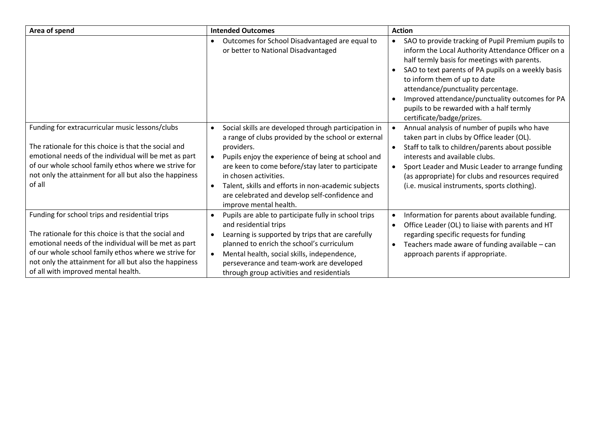| Area of spend                                                                                                                                                                                                                                                                                                            | <b>Intended Outcomes</b>                                                                                                                                                                                                                                                                                                                                                                                      | <b>Action</b>                                                                                                                                                                                                                                                                                                                                                                                                                              |
|--------------------------------------------------------------------------------------------------------------------------------------------------------------------------------------------------------------------------------------------------------------------------------------------------------------------------|---------------------------------------------------------------------------------------------------------------------------------------------------------------------------------------------------------------------------------------------------------------------------------------------------------------------------------------------------------------------------------------------------------------|--------------------------------------------------------------------------------------------------------------------------------------------------------------------------------------------------------------------------------------------------------------------------------------------------------------------------------------------------------------------------------------------------------------------------------------------|
|                                                                                                                                                                                                                                                                                                                          | Outcomes for School Disadvantaged are equal to<br>or better to National Disadvantaged                                                                                                                                                                                                                                                                                                                         | SAO to provide tracking of Pupil Premium pupils to<br>inform the Local Authority Attendance Officer on a<br>half termly basis for meetings with parents.<br>SAO to text parents of PA pupils on a weekly basis<br>$\bullet$<br>to inform them of up to date<br>attendance/punctuality percentage.<br>Improved attendance/punctuality outcomes for PA<br>$\bullet$<br>pupils to be rewarded with a half termly<br>certificate/badge/prizes. |
| Funding for extracurricular music lessons/clubs<br>The rationale for this choice is that the social and<br>emotional needs of the individual will be met as part<br>of our whole school family ethos where we strive for<br>not only the attainment for all but also the happiness<br>of all                             | Social skills are developed through participation in<br>a range of clubs provided by the school or external<br>providers.<br>Pupils enjoy the experience of being at school and<br>are keen to come before/stay later to participate<br>in chosen activities.<br>Talent, skills and efforts in non-academic subjects<br>$\bullet$<br>are celebrated and develop self-confidence and<br>improve mental health. | Annual analysis of number of pupils who have<br>taken part in clubs by Office leader (OL).<br>Staff to talk to children/parents about possible<br>$\bullet$<br>interests and available clubs.<br>Sport Leader and Music Leader to arrange funding<br>(as appropriate) for clubs and resources required<br>(i.e. musical instruments, sports clothing).                                                                                     |
| Funding for school trips and residential trips<br>The rationale for this choice is that the social and<br>emotional needs of the individual will be met as part<br>of our whole school family ethos where we strive for<br>not only the attainment for all but also the happiness<br>of all with improved mental health. | Pupils are able to participate fully in school trips<br>and residential trips<br>Learning is supported by trips that are carefully<br>planned to enrich the school's curriculum<br>Mental health, social skills, independence,<br>perseverance and team-work are developed<br>through group activities and residentials                                                                                       | Information for parents about available funding.<br>$\bullet$<br>Office Leader (OL) to liaise with parents and HT<br>$\bullet$<br>regarding specific requests for funding<br>Teachers made aware of funding available - can<br>$\bullet$<br>approach parents if appropriate.                                                                                                                                                               |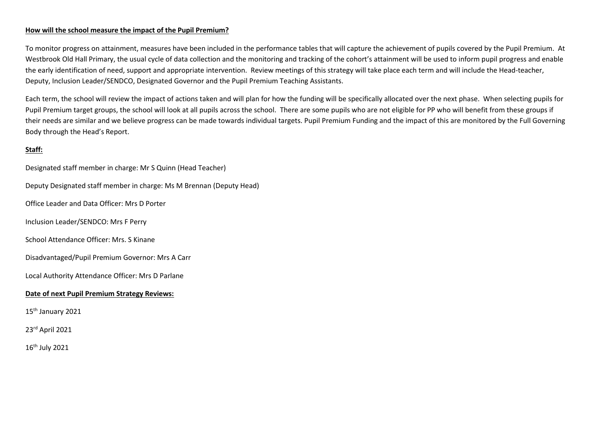#### **How will the school measure the impact of the Pupil Premium?**

To monitor progress on attainment, measures have been included in the performance tables that will capture the achievement of pupils covered by the Pupil Premium. At Westbrook Old Hall Primary, the usual cycle of data collection and the monitoring and tracking of the cohort's attainment will be used to inform pupil progress and enable the early identification of need, support and appropriate intervention. Review meetings of this strategy will take place each term and will include the Head-teacher, Deputy, Inclusion Leader/SENDCO, Designated Governor and the Pupil Premium Teaching Assistants.

Each term, the school will review the impact of actions taken and will plan for how the funding will be specifically allocated over the next phase. When selecting pupils for Pupil Premium target groups, the school will look at all pupils across the school. There are some pupils who are not eligible for PP who will benefit from these groups if their needs are similar and we believe progress can be made towards individual targets. Pupil Premium Funding and the impact of this are monitored by the Full Governing Body through the Head's Report.

## **Staff:**

Designated staff member in charge: Mr S Quinn (Head Teacher) Deputy Designated staff member in charge: Ms M Brennan (Deputy Head) Office Leader and Data Officer: Mrs D Porter Inclusion Leader/SENDCO: Mrs F Perry School Attendance Officer: Mrs. S Kinane Disadvantaged/Pupil Premium Governor: Mrs A Carr Local Authority Attendance Officer: Mrs D Parlane **Date of next Pupil Premium Strategy Reviews:**  15<sup>th</sup> January 2021 23rd April 2021 16 th July 2021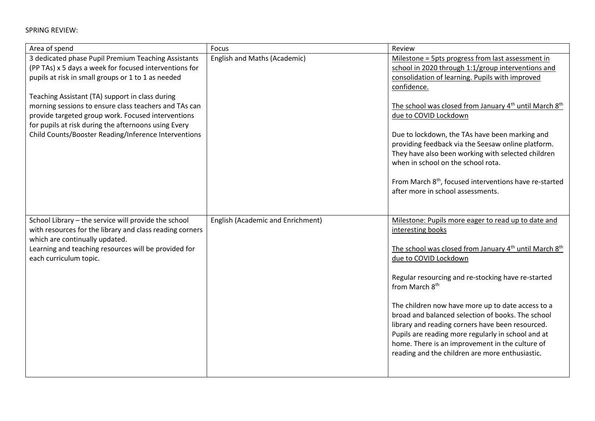SPRING REVIEW:

| Area of spend                                                                                                                                                                                                                                                                                                                                                                                                                                         | Focus                             | Review                                                                                                                                                                                                                                                                                                                                                                                                                                                                                                                                                                                              |
|-------------------------------------------------------------------------------------------------------------------------------------------------------------------------------------------------------------------------------------------------------------------------------------------------------------------------------------------------------------------------------------------------------------------------------------------------------|-----------------------------------|-----------------------------------------------------------------------------------------------------------------------------------------------------------------------------------------------------------------------------------------------------------------------------------------------------------------------------------------------------------------------------------------------------------------------------------------------------------------------------------------------------------------------------------------------------------------------------------------------------|
| 3 dedicated phase Pupil Premium Teaching Assistants<br>(PP TAs) x 5 days a week for focused interventions for<br>pupils at risk in small groups or 1 to 1 as needed<br>Teaching Assistant (TA) support in class during<br>morning sessions to ensure class teachers and TAs can<br>provide targeted group work. Focused interventions<br>for pupils at risk during the afternoons using Every<br>Child Counts/Booster Reading/Inference Interventions | English and Maths (Academic)      | Milestone = 5pts progress from last assessment in<br>school in 2020 through 1:1/group interventions and<br>consolidation of learning. Pupils with improved<br>confidence.<br>The school was closed from January 4 <sup>th</sup> until March 8 <sup>th</sup><br>due to COVID Lockdown<br>Due to lockdown, the TAs have been marking and<br>providing feedback via the Seesaw online platform.<br>They have also been working with selected children<br>when in school on the school rota.<br>From March 8 <sup>th</sup> , focused interventions have re-started<br>after more in school assessments. |
| School Library - the service will provide the school<br>with resources for the library and class reading corners<br>which are continually updated.<br>Learning and teaching resources will be provided for<br>each curriculum topic.                                                                                                                                                                                                                  | English (Academic and Enrichment) | Milestone: Pupils more eager to read up to date and<br>interesting books<br>The school was closed from January 4 <sup>th</sup> until March 8 <sup>th</sup><br>due to COVID Lockdown<br>Regular resourcing and re-stocking have re-started<br>from March 8 <sup>th</sup><br>The children now have more up to date access to a<br>broad and balanced selection of books. The school<br>library and reading corners have been resourced.<br>Pupils are reading more regularly in school and at<br>home. There is an improvement in the culture of<br>reading and the children are more enthusiastic.   |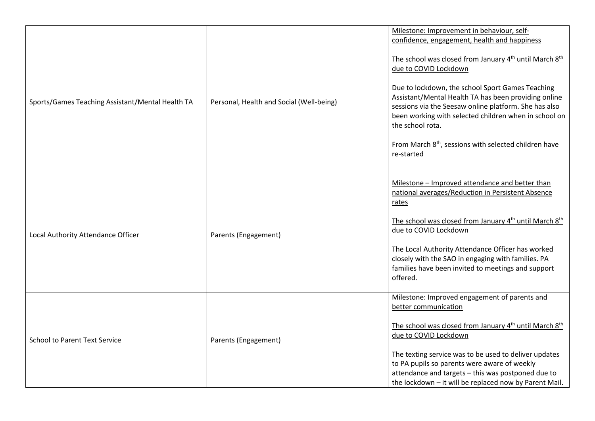| Sports/Games Teaching Assistant/Mental Health TA | Personal, Health and Social (Well-being) | Milestone: Improvement in behaviour, self-<br>confidence, engagement, health and happiness<br>The school was closed from January 4 <sup>th</sup> until March 8 <sup>th</sup><br>due to COVID Lockdown<br>Due to lockdown, the school Sport Games Teaching<br>Assistant/Mental Health TA has been providing online<br>sessions via the Seesaw online platform. She has also<br>been working with selected children when in school on<br>the school rota.<br>From March 8 <sup>th</sup> , sessions with selected children have<br>re-started |
|--------------------------------------------------|------------------------------------------|--------------------------------------------------------------------------------------------------------------------------------------------------------------------------------------------------------------------------------------------------------------------------------------------------------------------------------------------------------------------------------------------------------------------------------------------------------------------------------------------------------------------------------------------|
| Local Authority Attendance Officer               | Parents (Engagement)                     | Milestone - Improved attendance and better than<br>national averages/Reduction in Persistent Absence<br>rates<br>The school was closed from January 4 <sup>th</sup> until March 8 <sup>th</sup><br>due to COVID Lockdown<br>The Local Authority Attendance Officer has worked<br>closely with the SAO in engaging with families. PA<br>families have been invited to meetings and support<br>offered.                                                                                                                                      |
| <b>School to Parent Text Service</b>             | Parents (Engagement)                     | Milestone: Improved engagement of parents and<br>better communication<br>The school was closed from January 4 <sup>th</sup> until March 8 <sup>th</sup><br>due to COVID Lockdown<br>The texting service was to be used to deliver updates<br>to PA pupils so parents were aware of weekly<br>attendance and targets - this was postponed due to<br>the lockdown - it will be replaced now by Parent Mail.                                                                                                                                  |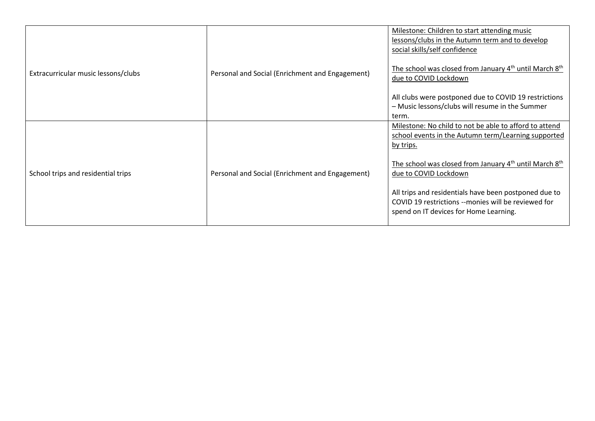| Extracurricular music lessons/clubs | Personal and Social (Enrichment and Engagement) | Milestone: Children to start attending music<br>lessons/clubs in the Autumn term and to develop<br>social skills/self confidence<br>The school was closed from January 4 <sup>th</sup> until March 8 <sup>th</sup><br>due to COVID Lockdown<br>All clubs were postponed due to COVID 19 restrictions<br>- Music lessons/clubs will resume in the Summer<br>term.                                |
|-------------------------------------|-------------------------------------------------|-------------------------------------------------------------------------------------------------------------------------------------------------------------------------------------------------------------------------------------------------------------------------------------------------------------------------------------------------------------------------------------------------|
| School trips and residential trips  | Personal and Social (Enrichment and Engagement) | Milestone: No child to not be able to afford to attend<br>school events in the Autumn term/Learning supported<br>by trips.<br>The school was closed from January 4 <sup>th</sup> until March 8 <sup>th</sup><br>due to COVID Lockdown<br>All trips and residentials have been postponed due to<br>COVID 19 restrictions --monies will be reviewed for<br>spend on IT devices for Home Learning. |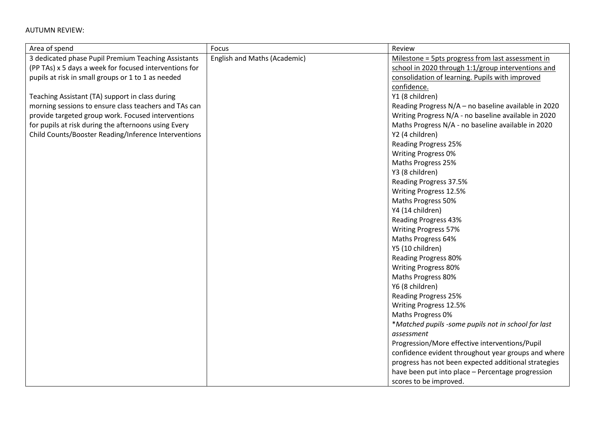## AUTUMN REVIEW:

| Area of spend                                          | Focus                        | Review                                               |
|--------------------------------------------------------|------------------------------|------------------------------------------------------|
| 3 dedicated phase Pupil Premium Teaching Assistants    | English and Maths (Academic) | Milestone = 5pts progress from last assessment in    |
| (PP TAs) x 5 days a week for focused interventions for |                              | school in 2020 through 1:1/group interventions and   |
| pupils at risk in small groups or 1 to 1 as needed     |                              | consolidation of learning. Pupils with improved      |
|                                                        |                              | confidence.                                          |
| Teaching Assistant (TA) support in class during        |                              | Y1 (8 children)                                      |
| morning sessions to ensure class teachers and TAs can  |                              | Reading Progress N/A - no baseline available in 2020 |
| provide targeted group work. Focused interventions     |                              | Writing Progress N/A - no baseline available in 2020 |
| for pupils at risk during the afternoons using Every   |                              | Maths Progress N/A - no baseline available in 2020   |
| Child Counts/Booster Reading/Inference Interventions   |                              | Y2 (4 children)                                      |
|                                                        |                              | Reading Progress 25%                                 |
|                                                        |                              | Writing Progress 0%                                  |
|                                                        |                              | Maths Progress 25%                                   |
|                                                        |                              | Y3 (8 children)                                      |
|                                                        |                              | Reading Progress 37.5%                               |
|                                                        |                              | Writing Progress 12.5%                               |
|                                                        |                              | Maths Progress 50%                                   |
|                                                        |                              | Y4 (14 children)                                     |
|                                                        |                              | <b>Reading Progress 43%</b>                          |
|                                                        |                              | <b>Writing Progress 57%</b>                          |
|                                                        |                              | Maths Progress 64%                                   |
|                                                        |                              | Y5 (10 children)                                     |
|                                                        |                              | <b>Reading Progress 80%</b>                          |
|                                                        |                              | Writing Progress 80%                                 |
|                                                        |                              | Maths Progress 80%                                   |
|                                                        |                              | Y6 (8 children)                                      |
|                                                        |                              | <b>Reading Progress 25%</b>                          |
|                                                        |                              | Writing Progress 12.5%                               |
|                                                        |                              | Maths Progress 0%                                    |
|                                                        |                              | *Matched pupils -some pupils not in school for last  |
|                                                        |                              | assessment                                           |
|                                                        |                              | Progression/More effective interventions/Pupil       |
|                                                        |                              | confidence evident throughout year groups and where  |
|                                                        |                              | progress has not been expected additional strategies |
|                                                        |                              | have been put into place - Percentage progression    |
|                                                        |                              | scores to be improved.                               |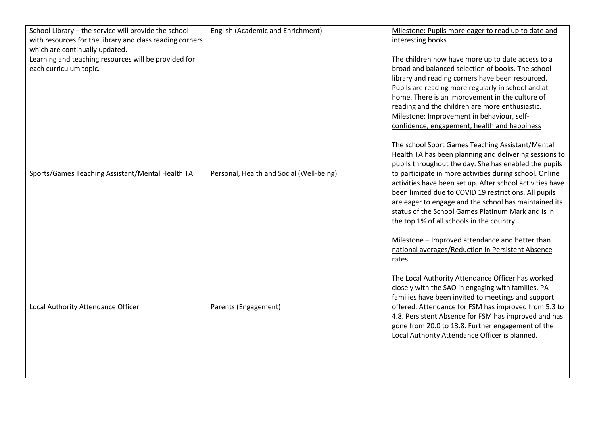| School Library - the service will provide the school<br>with resources for the library and class reading corners<br>which are continually updated.<br>Learning and teaching resources will be provided for<br>each curriculum topic. | English (Academic and Enrichment)        | Milestone: Pupils more eager to read up to date and<br>interesting books<br>The children now have more up to date access to a<br>broad and balanced selection of books. The school<br>library and reading corners have been resourced.<br>Pupils are reading more regularly in school and at<br>home. There is an improvement in the culture of<br>reading and the children are more enthusiastic.                                                                                                                                                                                                             |
|--------------------------------------------------------------------------------------------------------------------------------------------------------------------------------------------------------------------------------------|------------------------------------------|----------------------------------------------------------------------------------------------------------------------------------------------------------------------------------------------------------------------------------------------------------------------------------------------------------------------------------------------------------------------------------------------------------------------------------------------------------------------------------------------------------------------------------------------------------------------------------------------------------------|
| Sports/Games Teaching Assistant/Mental Health TA                                                                                                                                                                                     | Personal, Health and Social (Well-being) | Milestone: Improvement in behaviour, self-<br>confidence, engagement, health and happiness<br>The school Sport Games Teaching Assistant/Mental<br>Health TA has been planning and delivering sessions to<br>pupils throughout the day. She has enabled the pupils<br>to participate in more activities during school. Online<br>activities have been set up. After school activities have<br>been limited due to COVID 19 restrictions. All pupils<br>are eager to engage and the school has maintained its<br>status of the School Games Platinum Mark and is in<br>the top 1% of all schools in the country. |
| Local Authority Attendance Officer                                                                                                                                                                                                   | Parents (Engagement)                     | Milestone - Improved attendance and better than<br>national averages/Reduction in Persistent Absence<br>rates<br>The Local Authority Attendance Officer has worked<br>closely with the SAO in engaging with families. PA<br>families have been invited to meetings and support<br>offered. Attendance for FSM has improved from 5.3 to<br>4.8. Persistent Absence for FSM has improved and has<br>gone from 20.0 to 13.8. Further engagement of the<br>Local Authority Attendance Officer is planned.                                                                                                          |